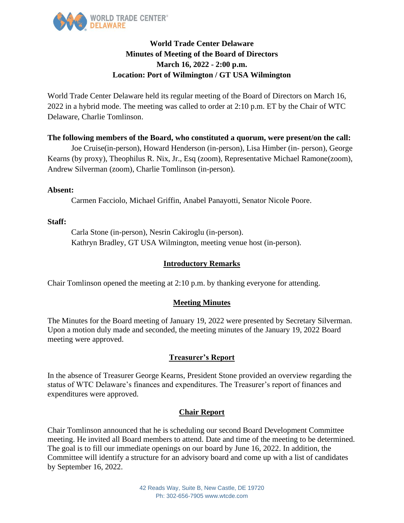

# **World Trade Center Delaware Minutes of Meeting of the Board of Directors March 16, 2022 - 2:00 p.m. Location: Port of Wilmington / GT USA Wilmington**

World Trade Center Delaware held its regular meeting of the Board of Directors on March 16, 2022 in a hybrid mode. The meeting was called to order at 2:10 p.m. ET by the Chair of WTC Delaware, Charlie Tomlinson.

### **The following members of the Board, who constituted a quorum, were present/on the call:**

Joe Cruise(in-person), Howard Henderson (in-person), Lisa Himber (in- person), George Kearns (by proxy), Theophilus R. Nix, Jr., Esq (zoom), Representative Michael Ramone(zoom), Andrew Silverman (zoom), Charlie Tomlinson (in-person).

#### **Absent:**

Carmen Facciolo, Michael Griffin, Anabel Panayotti, Senator Nicole Poore.

#### **Staff:**

Carla Stone (in-person), Nesrin Cakiroglu (in-person). Kathryn Bradley, GT USA Wilmington, meeting venue host (in-person).

#### **Introductory Remarks**

Chair Tomlinson opened the meeting at 2:10 p.m. by thanking everyone for attending.

#### **Meeting Minutes**

The Minutes for the Board meeting of January 19, 2022 were presented by Secretary Silverman. Upon a motion duly made and seconded, the meeting minutes of the January 19, 2022 Board meeting were approved.

### **Treasurer's Report**

In the absence of Treasurer George Kearns, President Stone provided an overview regarding the status of WTC Delaware's finances and expenditures. The Treasurer's report of finances and expenditures were approved.

### **Chair Report**

Chair Tomlinson announced that he is scheduling our second Board Development Committee meeting. He invited all Board members to attend. Date and time of the meeting to be determined. The goal is to fill our immediate openings on our board by June 16, 2022. In addition, the Committee will identify a structure for an advisory board and come up with a list of candidates by September 16, 2022.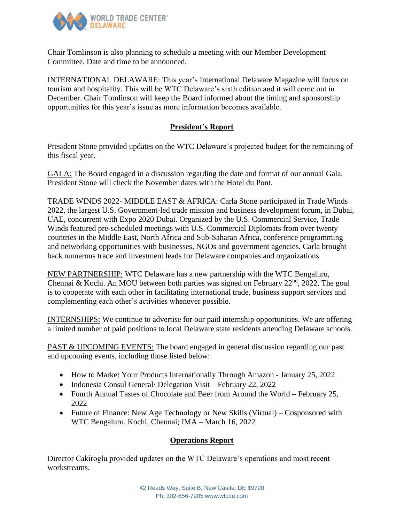

Chair Tomlinson is also planning to schedule a meeting with our Member Development Committee. Date and time to be announced.

INTERNATIONAL DELAWARE: This year's International Delaware Magazine will focus on tourism and hospitality. This will be WTC Delaware's sixth edition and it will come out in December. Chair Tomlinson will keep the Board informed about the timing and sponsorship opportunities for this year's issue as more information becomes available.

# **President's Report**

President Stone provided updates on the WTC Delaware's projected budget for the remaining of this fiscal year.

GALA: The Board engaged in a discussion regarding the date and format of our annual Gala. President Stone will check the November dates with the Hotel du Pont.

TRADE WINDS 2022- MIDDLE EAST & AFRICA: Carla Stone participated in Trade Winds 2022, the largest U.S. Government-led trade mission and business development forum, in Dubai, UAE, concurrent with Expo 2020 Dubai. Organized by the U.S. Commercial Service, Trade Winds featured pre-scheduled meetings with U.S. Commercial Diplomats from over twenty countries in the Middle East, North Africa and Sub-Saharan Africa, conference programming and networking opportunities with businesses, NGOs and government agencies. Carla brought back numerous trade and investment leads for Delaware companies and organizations.

NEW PARTNERSHIP: WTC Delaware has a new partnership with the WTC Bengaluru, Chennai & Kochi. An MOU between both parties was signed on February  $22<sup>nd</sup>$ ,  $2022$ . The goal is to cooperate with each other in facilitating international trade, business support services and complementing each other's activities whenever possible.

INTERNSHIPS: We continue to advertise for our paid internship opportunities. We are offering a limited number of paid positions to local Delaware state residents attending Delaware schools.

PAST & UPCOMING EVENTS: The board engaged in general discussion regarding our past and upcoming events, including those listed below:

- How to Market Your Products Internationally Through Amazon January 25, 2022
- Indonesia Consul General/ Delegation Visit February 22, 2022
- Fourth Annual Tastes of Chocolate and Beer from Around the World February 25, 2022
- Future of Finance: New Age Technology or New Skills (Virtual) Cosponsored with WTC Bengaluru, Kochi, Chennai; IMA – March 16, 2022

### **Operations Report**

Director Cakiroglu provided updates on the WTC Delaware's operations and most recent workstreams.